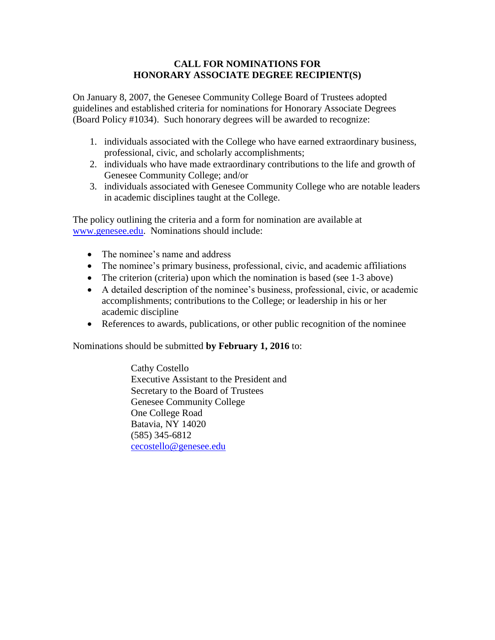#### **CALL FOR NOMINATIONS FOR HONORARY ASSOCIATE DEGREE RECIPIENT(S)**

On January 8, 2007, the Genesee Community College Board of Trustees adopted guidelines and established criteria for nominations for Honorary Associate Degrees (Board Policy #1034). Such honorary degrees will be awarded to recognize:

- 1. individuals associated with the College who have earned extraordinary business, professional, civic, and scholarly accomplishments;
- 2. individuals who have made extraordinary contributions to the life and growth of Genesee Community College; and/or
- 3. individuals associated with Genesee Community College who are notable leaders in academic disciplines taught at the College.

The policy outlining the criteria and a form for nomination are available at [www.genesee.edu.](http://www.genesee.edu/) Nominations should include:

- The nominee's name and address
- The nominee's primary business, professional, civic, and academic affiliations
- The criterion (criteria) upon which the nomination is based (see 1-3 above)
- A detailed description of the nominee's business, professional, civic, or academic accomplishments; contributions to the College; or leadership in his or her academic discipline
- References to awards, publications, or other public recognition of the nominee

Nominations should be submitted **by February 1, 2016** to:

Cathy Costello Executive Assistant to the President and Secretary to the Board of Trustees Genesee Community College One College Road Batavia, NY 14020 (585) 345-6812 [cecostello@genesee.edu](mailto:cecostello@genesee.edu)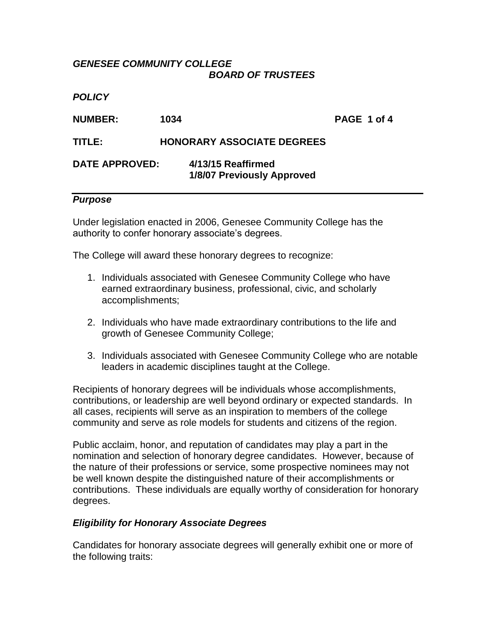### *GENESEE COMMUNITY COLLEGE BOARD OF TRUSTEES*

*POLICY*

**NUMBER: 1034 PAGE 1 of 4**

## **TITLE: HONORARY ASSOCIATE DEGREES**

# **DATE APPROVED: 4/13/15 Reaffirmed 1/8/07 Previously Approved**

### *Purpose*

Under legislation enacted in 2006, Genesee Community College has the authority to confer honorary associate's degrees.

The College will award these honorary degrees to recognize:

- 1. Individuals associated with Genesee Community College who have earned extraordinary business, professional, civic, and scholarly accomplishments;
- 2. Individuals who have made extraordinary contributions to the life and growth of Genesee Community College;
- 3. Individuals associated with Genesee Community College who are notable leaders in academic disciplines taught at the College.

Recipients of honorary degrees will be individuals whose accomplishments, contributions, or leadership are well beyond ordinary or expected standards. In all cases, recipients will serve as an inspiration to members of the college community and serve as role models for students and citizens of the region.

Public acclaim, honor, and reputation of candidates may play a part in the nomination and selection of honorary degree candidates. However, because of the nature of their professions or service, some prospective nominees may not be well known despite the distinguished nature of their accomplishments or contributions. These individuals are equally worthy of consideration for honorary degrees.

## *Eligibility for Honorary Associate Degrees*

Candidates for honorary associate degrees will generally exhibit one or more of the following traits: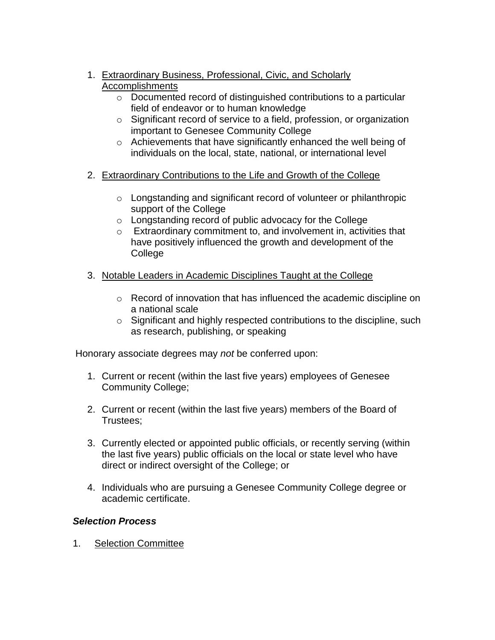- 1. Extraordinary Business, Professional, Civic, and Scholarly Accomplishments
	- o Documented record of distinguished contributions to a particular field of endeavor or to human knowledge
	- o Significant record of service to a field, profession, or organization important to Genesee Community College
	- o Achievements that have significantly enhanced the well being of individuals on the local, state, national, or international level
- 2. Extraordinary Contributions to the Life and Growth of the College
	- o Longstanding and significant record of volunteer or philanthropic support of the College
	- o Longstanding record of public advocacy for the College
	- o Extraordinary commitment to, and involvement in, activities that have positively influenced the growth and development of the College
- 3. Notable Leaders in Academic Disciplines Taught at the College
	- o Record of innovation that has influenced the academic discipline on a national scale
	- o Significant and highly respected contributions to the discipline, such as research, publishing, or speaking

Honorary associate degrees may *not* be conferred upon:

- 1. Current or recent (within the last five years) employees of Genesee Community College;
- 2. Current or recent (within the last five years) members of the Board of Trustees;
- 3. Currently elected or appointed public officials, or recently serving (within the last five years) public officials on the local or state level who have direct or indirect oversight of the College; or
- 4. Individuals who are pursuing a Genesee Community College degree or academic certificate.

## *Selection Process*

1. Selection Committee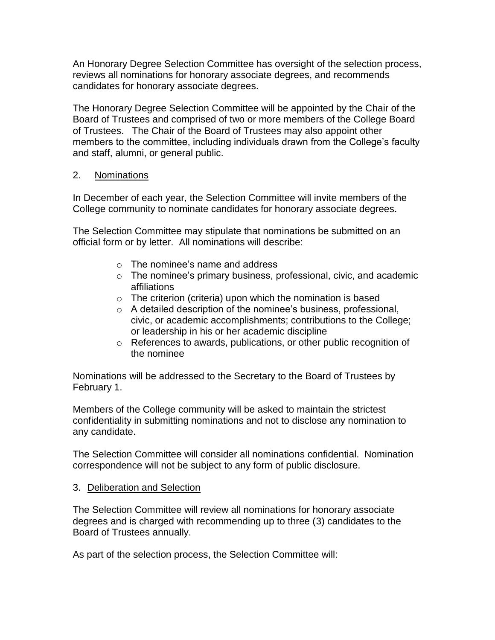An Honorary Degree Selection Committee has oversight of the selection process, reviews all nominations for honorary associate degrees, and recommends candidates for honorary associate degrees.

The Honorary Degree Selection Committee will be appointed by the Chair of the Board of Trustees and comprised of two or more members of the College Board of Trustees. The Chair of the Board of Trustees may also appoint other members to the committee, including individuals drawn from the College's faculty and staff, alumni, or general public.

### 2. Nominations

In December of each year, the Selection Committee will invite members of the College community to nominate candidates for honorary associate degrees.

The Selection Committee may stipulate that nominations be submitted on an official form or by letter. All nominations will describe:

- o The nominee's name and address
- o The nominee's primary business, professional, civic, and academic affiliations
- $\circ$  The criterion (criteria) upon which the nomination is based
- o A detailed description of the nominee's business, professional, civic, or academic accomplishments; contributions to the College; or leadership in his or her academic discipline
- o References to awards, publications, or other public recognition of the nominee

Nominations will be addressed to the Secretary to the Board of Trustees by February 1.

Members of the College community will be asked to maintain the strictest confidentiality in submitting nominations and not to disclose any nomination to any candidate.

The Selection Committee will consider all nominations confidential. Nomination correspondence will not be subject to any form of public disclosure.

#### 3. Deliberation and Selection

The Selection Committee will review all nominations for honorary associate degrees and is charged with recommending up to three (3) candidates to the Board of Trustees annually.

As part of the selection process, the Selection Committee will: